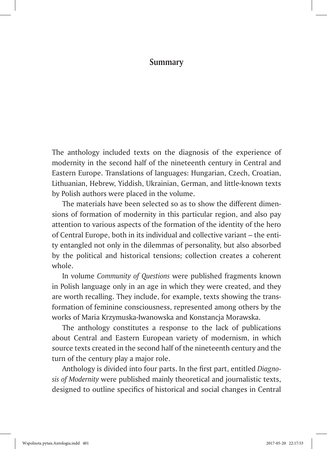## **Summary**

The anthology included texts on the diagnosis of the experience of modernity in the second half of the nineteenth century in Central and Eastern Europe. Translations of languages: Hungarian, Czech, Croatian, Lithuanian, Hebrew, Yiddish, Ukrainian, German, and little-known texts by Polish authors were placed in the volume.

The materials have been selected so as to show the different dimensions of formation of modernity in this particular region, and also pay attention to various aspects of the formation of the identity of the hero of Central Europe, both in its individual and collective variant – the entity entangled not only in the dilemmas of personality, but also absorbed by the political and historical tensions; collection creates a coherent whole.

In volume *Community of Questions* were published fragments known in Polish language only in an age in which they were created, and they are worth recalling. They include, for example, texts showing the transformation of feminine consciousness, represented among others by the works of Maria Krzymuska-Iwanowska and Konstancja Morawska.

The anthology constitutes a response to the lack of publications about Central and Eastern European variety of modernism, in which source texts created in the second half of the nineteenth century and the turn of the century play a major role.

Anthology is divided into four parts. In the first part, entitled *Diagnosis of Modernity* were published mainly theoretical and journalistic texts, designed to outline specifics of historical and social changes in Central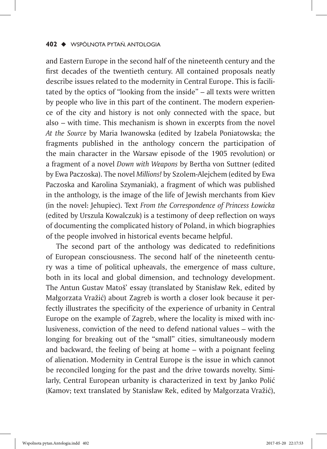and Eastern Europe in the second half of the nineteenth century and the first decades of the twentieth century. All contained proposals neatly describe issues related to the modernity in Central Europe. This is facilitated by the optics of "looking from the inside" – all texts were written by people who live in this part of the continent. The modern experience of the city and history is not only connected with the space, but also – with time. This mechanism is shown in excerpts from the novel *At the Source* by Maria Iwanowska (edited by Izabela Poniatowska; the fragments published in the anthology concern the participation of the main character in the Warsaw episode of the 1905 revolution) or a fragment of a novel *Down with Weapons* by Bertha von Suttner (edited by Ewa Paczoska). The novel *Millions!* by Szolem-Alejchem (edited by Ewa Paczoska and Karolina Szymaniak), a fragment of which was published in the anthology, is the image of the life of Jewish merchants from Kiev (in the novel: Jehupiec). Text *From the Correspondence of Princess Łowicka* (edited by Urszula Kowalczuk) is a testimony of deep reflection on ways of documenting the complicated history of Poland, in which biographies of the people involved in historical events became helpful.

The second part of the anthology was dedicated to redefinitions of European consciousness. The second half of the nineteenth century was a time of political upheavals, the emergence of mass culture, both in its local and global dimension, and technology development. The Antun Gustav Matoš' essay (translated by Stanisław Rek, edited by Małgorzata Vražić) about Zagreb is worth a closer look because it perfectly illustrates the specificity of the experience of urbanity in Central Europe on the example of Zagreb, where the locality is mixed with inclusiveness, conviction of the need to defend national values – with the longing for breaking out of the "small" cities, simultaneously modern and backward, the feeling of being at home – with a poignant feeling of alienation. Modernity in Central Europe is the issue in which cannot be reconciled longing for the past and the drive towards novelty. Similarly, Central European urbanity is characterized in text by Janko Polić (Kamov; text translated by Stanisław Rek, edited by Małgorzata Vražić),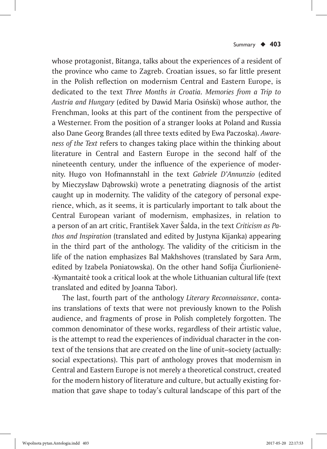whose protagonist, Bitanga, talks about the experiences of a resident of the province who came to Zagreb. Croatian issues, so far little present in the Polish reflection on modernism Central and Eastern Europe, is dedicated to the text *Three Months in Croatia. Memories from a Trip to Austria and Hungary* (edited by Dawid Maria Osiński) whose author, the Frenchman, looks at this part of the continent from the perspective of a Westerner. From the position of a stranger looks at Poland and Russia also Dane Georg Brandes (all three texts edited by Ewa Paczoska). *Awareness of the Text* refers to changes taking place within the thinking about literature in Central and Eastern Europe in the second half of the nineteenth century, under the influence of the experience of modernity. Hugo von Hofmannstahl in the text *Gabriele D'Annunzio* (edited by Mieczysław Dąbrowski) wrote a penetrating diagnosis of the artist caught up in modernity. The validity of the category of personal experience, which, as it seems, it is particularly important to talk about the Central European variant of modernism, emphasizes, in relation to a person of an art critic, František Xaver Šalda, in the text *Criticism as Pathos and Inspiration* (translated and edited by Justyna Kijanka) appearing in the third part of the anthology. The validity of the criticism in the life of the nation emphasizes Bal Makhshoves (translated by Sara Arm, edited by Izabela Poniatowska). On the other hand Sofija Čiurlionienė- -Kymantaitė took a critical look at the whole Lithuanian cultural life (text translated and edited by Joanna Tabor).

The last, fourth part of the anthology *Literary Reconnaissance*, contains translations of texts that were not previously known to the Polish audience, and fragments of prose in Polish completely forgotten. The common denominator of these works, regardless of their artistic value, is the attempt to read the experiences of individual character in the context of the tensions that are created on the line of unit–society (actually: social expectations). This part of anthology proves that modernism in Central and Eastern Europe is not merely a theoretical construct, created for the modern history of literature and culture, but actually existing formation that gave shape to today's cultural landscape of this part of the